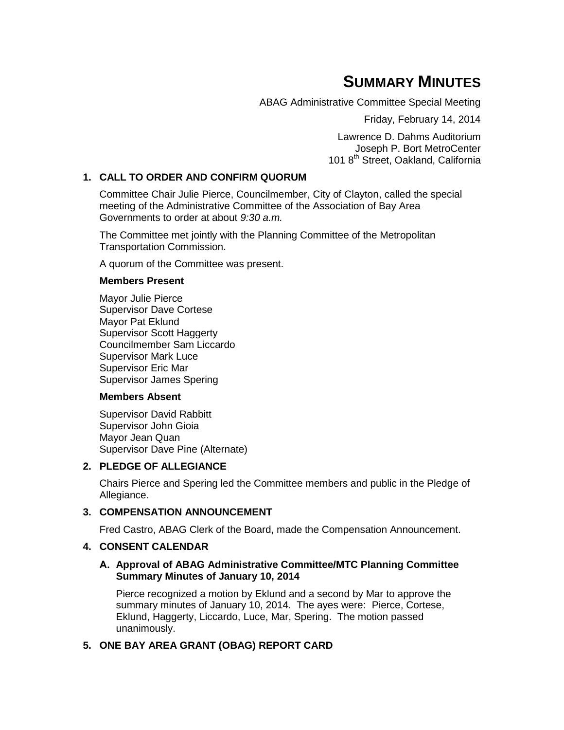# **SUMMARY MINUTES**

ABAG Administrative Committee Special Meeting

Friday, February 14, 2014

Lawrence D. Dahms Auditorium Joseph P. Bort MetroCenter 101 8<sup>th</sup> Street, Oakland, California

## **1. CALL TO ORDER AND CONFIRM QUORUM**

Committee Chair Julie Pierce, Councilmember, City of Clayton, called the special meeting of the Administrative Committee of the Association of Bay Area Governments to order at about *9:30 a.m.*

The Committee met jointly with the Planning Committee of the Metropolitan Transportation Commission.

A quorum of the Committee was present.

#### **Members Present**

Mayor Julie Pierce Supervisor Dave Cortese Mayor Pat Eklund Supervisor Scott Haggerty Councilmember Sam Liccardo Supervisor Mark Luce Supervisor Eric Mar Supervisor James Spering

## **Members Absent**

Supervisor David Rabbitt Supervisor John Gioia Mayor Jean Quan Supervisor Dave Pine (Alternate)

## **2. PLEDGE OF ALLEGIANCE**

Chairs Pierce and Spering led the Committee members and public in the Pledge of Allegiance.

## **3. COMPENSATION ANNOUNCEMENT**

Fred Castro, ABAG Clerk of the Board, made the Compensation Announcement.

## **4. CONSENT CALENDAR**

#### **A. Approval of ABAG Administrative Committee/MTC Planning Committee Summary Minutes of January 10, 2014**

Pierce recognized a motion by Eklund and a second by Mar to approve the summary minutes of January 10, 2014. The ayes were: Pierce, Cortese, Eklund, Haggerty, Liccardo, Luce, Mar, Spering. The motion passed unanimously.

## **5. ONE BAY AREA GRANT (OBAG) REPORT CARD**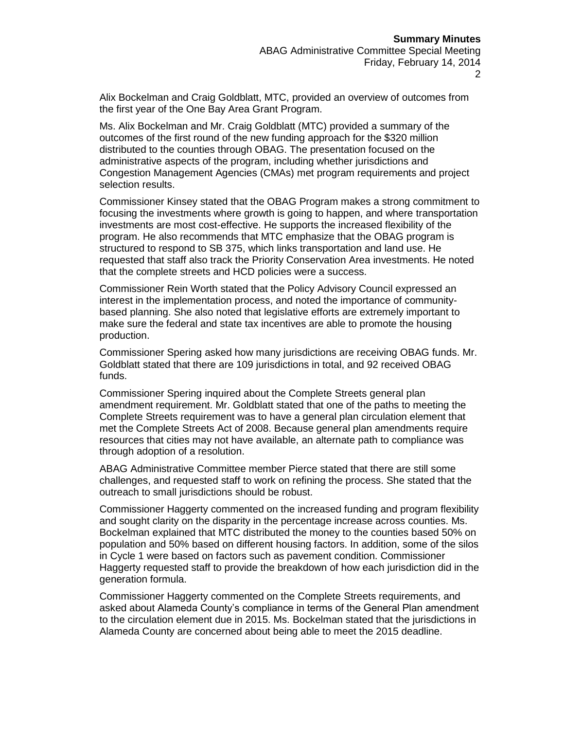Alix Bockelman and Craig Goldblatt, MTC, provided an overview of outcomes from the first year of the One Bay Area Grant Program.

Ms. Alix Bockelman and Mr. Craig Goldblatt (MTC) provided a summary of the outcomes of the first round of the new funding approach for the \$320 million distributed to the counties through OBAG. The presentation focused on the administrative aspects of the program, including whether jurisdictions and Congestion Management Agencies (CMAs) met program requirements and project selection results.

Commissioner Kinsey stated that the OBAG Program makes a strong commitment to focusing the investments where growth is going to happen, and where transportation investments are most cost-effective. He supports the increased flexibility of the program. He also recommends that MTC emphasize that the OBAG program is structured to respond to SB 375, which links transportation and land use. He requested that staff also track the Priority Conservation Area investments. He noted that the complete streets and HCD policies were a success.

Commissioner Rein Worth stated that the Policy Advisory Council expressed an interest in the implementation process, and noted the importance of communitybased planning. She also noted that legislative efforts are extremely important to make sure the federal and state tax incentives are able to promote the housing production.

Commissioner Spering asked how many jurisdictions are receiving OBAG funds. Mr. Goldblatt stated that there are 109 jurisdictions in total, and 92 received OBAG funds.

Commissioner Spering inquired about the Complete Streets general plan amendment requirement. Mr. Goldblatt stated that one of the paths to meeting the Complete Streets requirement was to have a general plan circulation element that met the Complete Streets Act of 2008. Because general plan amendments require resources that cities may not have available, an alternate path to compliance was through adoption of a resolution.

ABAG Administrative Committee member Pierce stated that there are still some challenges, and requested staff to work on refining the process. She stated that the outreach to small jurisdictions should be robust.

Commissioner Haggerty commented on the increased funding and program flexibility and sought clarity on the disparity in the percentage increase across counties. Ms. Bockelman explained that MTC distributed the money to the counties based 50% on population and 50% based on different housing factors. In addition, some of the silos in Cycle 1 were based on factors such as pavement condition. Commissioner Haggerty requested staff to provide the breakdown of how each jurisdiction did in the generation formula.

Commissioner Haggerty commented on the Complete Streets requirements, and asked about Alameda County's compliance in terms of the General Plan amendment to the circulation element due in 2015. Ms. Bockelman stated that the jurisdictions in Alameda County are concerned about being able to meet the 2015 deadline.